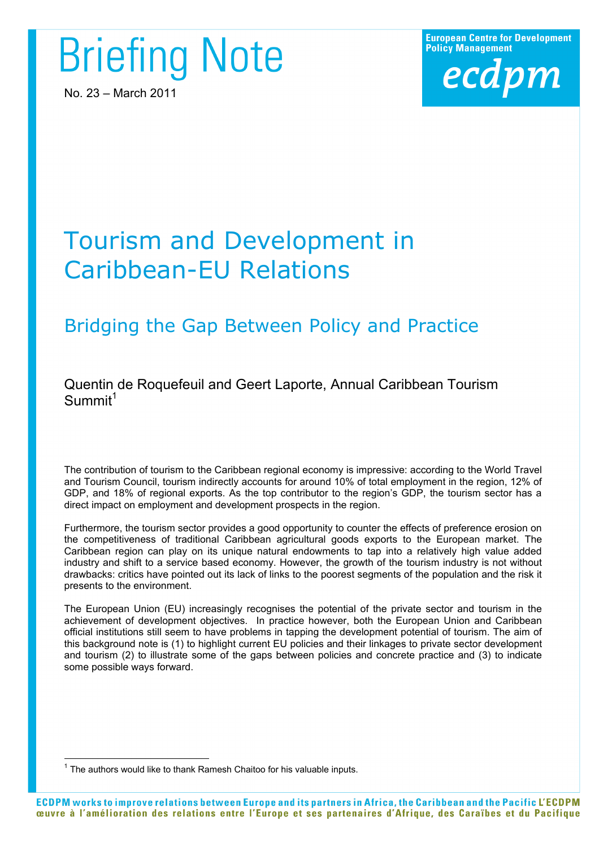# **Briefing Note**

No. 23 – March 2011

**European Centre for Development Policy Management** ecdpm

# Tourism and Development in Caribbean-EU Relations

# Bridging the Gap Between Policy and Practice

Quentin de Roquefeuil and Geert Laporte, Annual Caribbean Tourism  $Summit<sup>1</sup>$ 

The contribution of tourism to the Caribbean regional economy is impressive: according to the World Travel and Tourism Council, tourism indirectly accounts for around 10% of total employment in the region, 12% of GDP, and 18% of regional exports. As the top contributor to the region's GDP, the tourism sector has a direct impact on employment and development prospects in the region.

Furthermore, the tourism sector provides a good opportunity to counter the effects of preference erosion on the competitiveness of traditional Caribbean agricultural goods exports to the European market. The Caribbean region can play on its unique natural endowments to tap into a relatively high value added industry and shift to a service based economy. However, the growth of the tourism industry is not without drawbacks: critics have pointed out its lack of links to the poorest segments of the population and the risk it presents to the environment.

The European Union (EU) increasingly recognises the potential of the private sector and tourism in the achievement of development objectives. In practice however, both the European Union and Caribbean official institutions still seem to have problems in tapping the development potential of tourism. The aim of this background note is (1) to highlight current EU policies and their linkages to private sector development and tourism (2) to illustrate some of the gaps between policies and concrete practice and (3) to indicate some possible ways forward.

 $\frac{1}{1}$  $1$  The authors would like to thank Ramesh Chaitoo for his valuable inputs.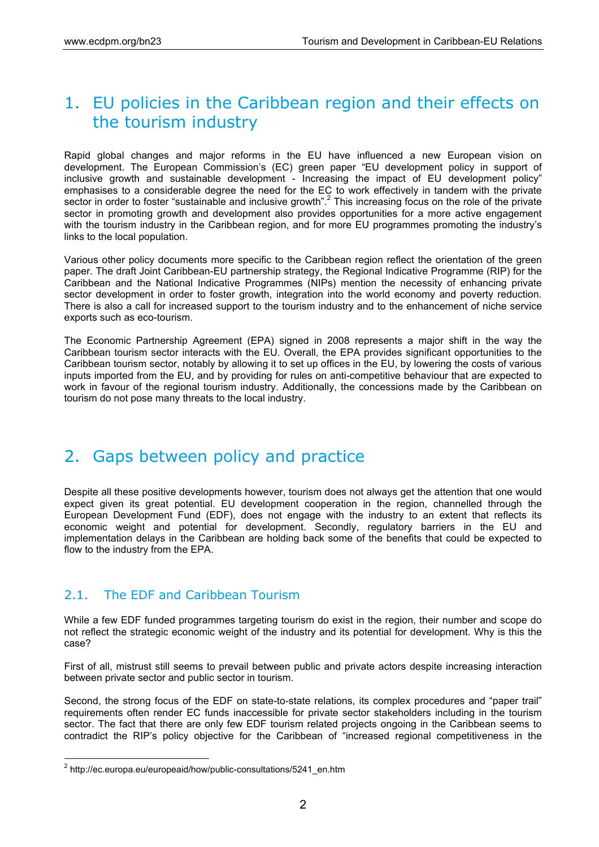## 1. EU policies in the Caribbean region and their effects on the tourism industry

Rapid global changes and major reforms in the EU have influenced a new European vision on development. The European Commission's (EC) green paper "EU development policy in support of inclusive growth and sustainable development - Increasing the impact of EU development policy" emphasises to a considerable degree the need for the EC to work effectively in tandem with the private sector in order to foster "sustainable and inclusive growth".<sup>2</sup> This increasing focus on the role of the private sector in promoting growth and development also provides opportunities for a more active engagement with the tourism industry in the Caribbean region, and for more EU programmes promoting the industry's links to the local population.

Various other policy documents more specific to the Caribbean region reflect the orientation of the green paper. The draft Joint Caribbean-EU partnership strategy, the Regional Indicative Programme (RIP) for the Caribbean and the National Indicative Programmes (NIPs) mention the necessity of enhancing private sector development in order to foster growth, integration into the world economy and poverty reduction. There is also a call for increased support to the tourism industry and to the enhancement of niche service exports such as eco-tourism.

The Economic Partnership Agreement (EPA) signed in 2008 represents a major shift in the way the Caribbean tourism sector interacts with the EU. Overall, the EPA provides significant opportunities to the Caribbean tourism sector, notably by allowing it to set up offices in the EU, by lowering the costs of various inputs imported from the EU, and by providing for rules on anti-competitive behaviour that are expected to work in favour of the regional tourism industry. Additionally, the concessions made by the Caribbean on tourism do not pose many threats to the local industry.

### 2. Gaps between policy and practice

Despite all these positive developments however, tourism does not always get the attention that one would expect given its great potential. EU development cooperation in the region, channelled through the European Development Fund (EDF), does not engage with the industry to an extent that reflects its economic weight and potential for development. Secondly, regulatory barriers in the EU and implementation delays in the Caribbean are holding back some of the benefits that could be expected to flow to the industry from the EPA.

#### 2.1. The EDF and Caribbean Tourism

While a few EDF funded programmes targeting tourism do exist in the region, their number and scope do not reflect the strategic economic weight of the industry and its potential for development. Why is this the case?

First of all, mistrust still seems to prevail between public and private actors despite increasing interaction between private sector and public sector in tourism.

Second, the strong focus of the EDF on state-to-state relations, its complex procedures and "paper trail" requirements often render EC funds inaccessible for private sector stakeholders including in the tourism sector. The fact that there are only few EDF tourism related projects ongoing in the Caribbean seems to contradict the RIP's policy objective for the Caribbean of "increased regional competitiveness in the

 <sup>2</sup> http://ec.europa.eu/europeaid/how/public-consultations/5241\_en.htm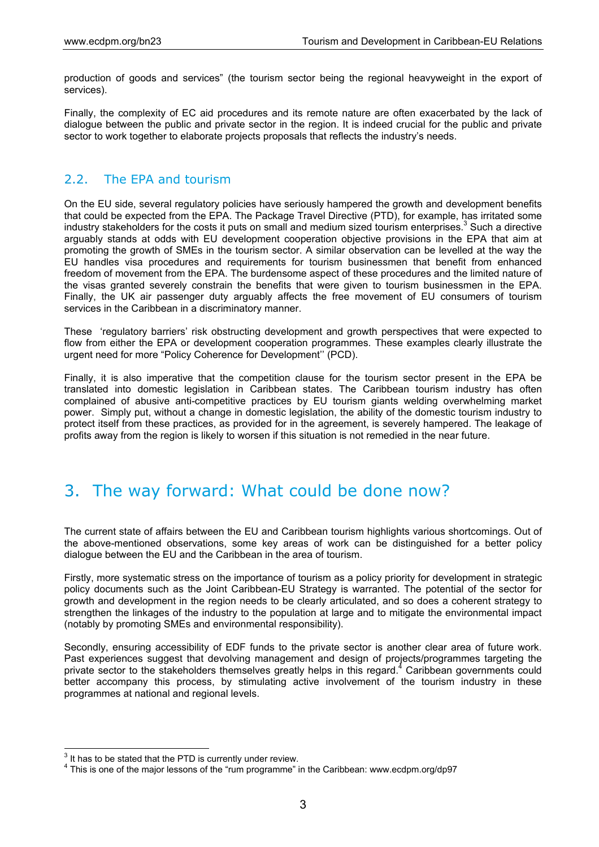production of goods and services" (the tourism sector being the regional heavyweight in the export of services).

Finally, the complexity of EC aid procedures and its remote nature are often exacerbated by the lack of dialogue between the public and private sector in the region. It is indeed crucial for the public and private sector to work together to elaborate projects proposals that reflects the industry's needs.

#### 2.2. The EPA and tourism

On the EU side, several regulatory policies have seriously hampered the growth and development benefits that could be expected from the EPA. The Package Travel Directive (PTD), for example, has irritated some industry stakeholders for the costs it puts on small and medium sized tourism enterprises.<sup>3</sup> Such a directive arguably stands at odds with EU development cooperation objective provisions in the EPA that aim at promoting the growth of SMEs in the tourism sector. A similar observation can be levelled at the way the EU handles visa procedures and requirements for tourism businessmen that benefit from enhanced freedom of movement from the EPA. The burdensome aspect of these procedures and the limited nature of the visas granted severely constrain the benefits that were given to tourism businessmen in the EPA. Finally, the UK air passenger duty arguably affects the free movement of EU consumers of tourism services in the Caribbean in a discriminatory manner.

These 'regulatory barriers' risk obstructing development and growth perspectives that were expected to flow from either the EPA or development cooperation programmes. These examples clearly illustrate the urgent need for more "Policy Coherence for Development'' (PCD).

Finally, it is also imperative that the competition clause for the tourism sector present in the EPA be translated into domestic legislation in Caribbean states. The Caribbean tourism industry has often complained of abusive anti-competitive practices by EU tourism giants welding overwhelming market power. Simply put, without a change in domestic legislation, the ability of the domestic tourism industry to protect itself from these practices, as provided for in the agreement, is severely hampered. The leakage of profits away from the region is likely to worsen if this situation is not remedied in the near future.

### 3. The way forward: What could be done now?

The current state of affairs between the EU and Caribbean tourism highlights various shortcomings. Out of the above-mentioned observations, some key areas of work can be distinguished for a better policy dialogue between the EU and the Caribbean in the area of tourism.

Firstly, more systematic stress on the importance of tourism as a policy priority for development in strategic policy documents such as the Joint Caribbean-EU Strategy is warranted. The potential of the sector for growth and development in the region needs to be clearly articulated, and so does a coherent strategy to strengthen the linkages of the industry to the population at large and to mitigate the environmental impact (notably by promoting SMEs and environmental responsibility).

Secondly, ensuring accessibility of EDF funds to the private sector is another clear area of future work. Past experiences suggest that devolving management and design of projects/programmes targeting the private sector to the stakeholders themselves greatly helps in this regard.<sup>4</sup> Caribbean governments could better accompany this process, by stimulating active involvement of the tourism industry in these programmes at national and regional levels.

<sup>-&</sup>lt;br>3  $3$  It has to be stated that the PTD is currently under review.

<sup>&</sup>lt;sup>4</sup> This is one of the major lessons of the "rum programme" in the Caribbean: www.ecdpm.org/dp97